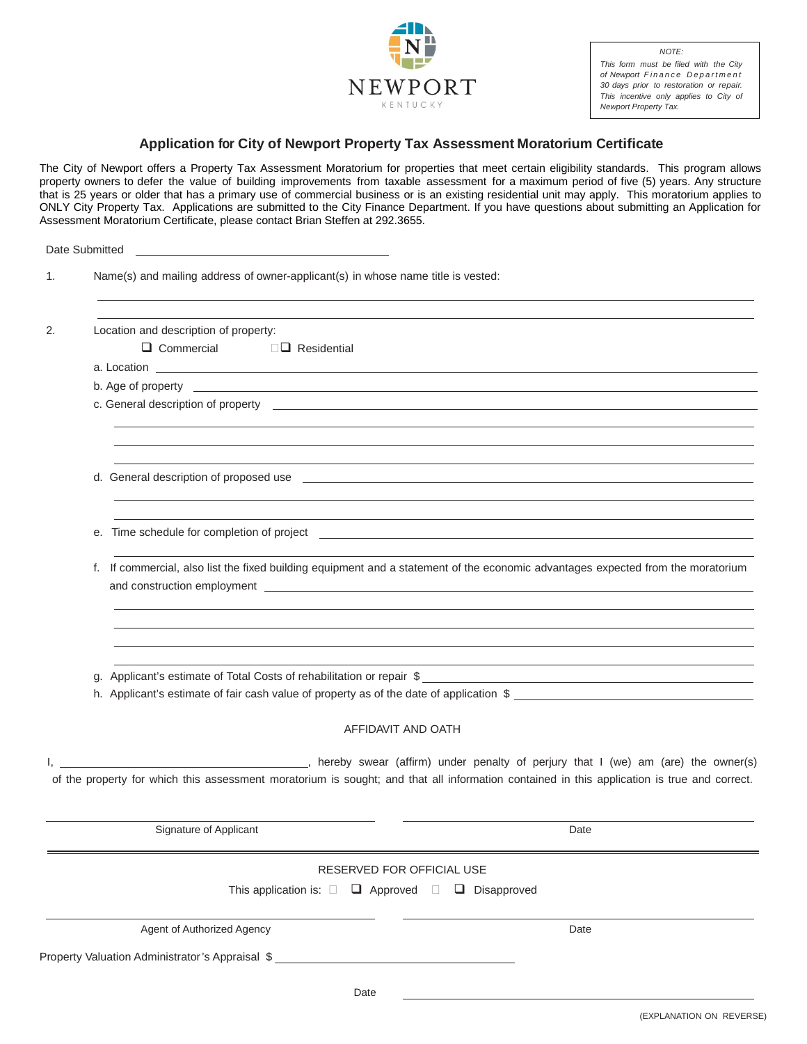

*NOTE: This form must be filed with the City of Newport Finance Department 30 days prior to restoration or repair. This incentive only applies to City of Newport Property Tax.*

## **Application for City of Newport Property Tax Assessment Moratorium Certificate**

The City of Newport offers a Property Tax Assessment Moratorium for properties that meet certain eligibility standards. This program allows property owners to defer the value of building improvements from taxable assessment for a maximum period of five (5) years. Any structure that is 25 years or older that has a primary use of commercial business or is an existing residential unit may apply. This moratorium applies to ONLY City Property Tax. Applications are submitted to the City Finance Department. If you have questions about submitting an Application for Assessment Moratorium Certificate, please contact Brian Steffen at 292.3655.

|                            | Date Submitted <b>Example 20</b> Submitted <b>Example 20</b> Submitted <b>Example 20</b> Submitted <b>Example 20</b> Submitted <b>Example 20</b> Submitted <b>Example 20</b> Submitted <b>Example 20</b> Submitted <b>Example 20</b> Submitted <b>Example 20</b> Submitted                                                                                                                                                                                       |                                                                                                                                                                                                                                   |
|----------------------------|------------------------------------------------------------------------------------------------------------------------------------------------------------------------------------------------------------------------------------------------------------------------------------------------------------------------------------------------------------------------------------------------------------------------------------------------------------------|-----------------------------------------------------------------------------------------------------------------------------------------------------------------------------------------------------------------------------------|
| 1.                         | Name(s) and mailing address of owner-applicant(s) in whose name title is vested:                                                                                                                                                                                                                                                                                                                                                                                 |                                                                                                                                                                                                                                   |
| 2.                         | Location and description of property:                                                                                                                                                                                                                                                                                                                                                                                                                            |                                                                                                                                                                                                                                   |
|                            | $\Box$ Commercial<br>$\square$ Residential                                                                                                                                                                                                                                                                                                                                                                                                                       |                                                                                                                                                                                                                                   |
|                            |                                                                                                                                                                                                                                                                                                                                                                                                                                                                  |                                                                                                                                                                                                                                   |
|                            | b. Age of property experience of the state of the state of the state of the state of the state of the state of the state of the state of the state of the state of the state of the state of the state of the state of the sta<br>c. General description of property entertainment and the control of the control of the control of property entertainment and the control of the control of property entertainment and the control of property entertainment an |                                                                                                                                                                                                                                   |
|                            |                                                                                                                                                                                                                                                                                                                                                                                                                                                                  |                                                                                                                                                                                                                                   |
|                            |                                                                                                                                                                                                                                                                                                                                                                                                                                                                  |                                                                                                                                                                                                                                   |
|                            |                                                                                                                                                                                                                                                                                                                                                                                                                                                                  | d. General description of proposed use experience and the control of the control of the control of the control of the control of the control of the control of the control of the control of the control of the control of the    |
|                            | е.                                                                                                                                                                                                                                                                                                                                                                                                                                                               | Time schedule for completion of project example and the state of the state of the state of the state of the state of the state of the state of the state of the state of the state of the state of the state of the state of t    |
|                            | f. If commercial, also list the fixed building equipment and a statement of the economic advantages expected from the moratorium                                                                                                                                                                                                                                                                                                                                 |                                                                                                                                                                                                                                   |
|                            | q.                                                                                                                                                                                                                                                                                                                                                                                                                                                               | Applicant's estimate of Total Costs of rehabilitation or repair \$<br>h. Applicant's estimate of fair cash value of property as of the date of application \$                                                                     |
|                            |                                                                                                                                                                                                                                                                                                                                                                                                                                                                  |                                                                                                                                                                                                                                   |
|                            | AFFIDAVIT AND OATH                                                                                                                                                                                                                                                                                                                                                                                                                                               |                                                                                                                                                                                                                                   |
|                            |                                                                                                                                                                                                                                                                                                                                                                                                                                                                  | , hereby swear (affirm) under penalty of perjury that I (we) am (are) the owner(s)<br>of the property for which this assessment moratorium is sought; and that all information contained in this application is true and correct. |
|                            | <b>Signature of Applicant</b>                                                                                                                                                                                                                                                                                                                                                                                                                                    | Date                                                                                                                                                                                                                              |
|                            | RESERVED FOR OFFICIAL USE                                                                                                                                                                                                                                                                                                                                                                                                                                        |                                                                                                                                                                                                                                   |
|                            | This application is: $\square$ $\square$ Approved $\square$ Disapproved                                                                                                                                                                                                                                                                                                                                                                                          |                                                                                                                                                                                                                                   |
| Agent of Authorized Agency |                                                                                                                                                                                                                                                                                                                                                                                                                                                                  | Date                                                                                                                                                                                                                              |
|                            | Property Valuation Administrator's Appraisal \$__________________________________                                                                                                                                                                                                                                                                                                                                                                                |                                                                                                                                                                                                                                   |
|                            | Date                                                                                                                                                                                                                                                                                                                                                                                                                                                             |                                                                                                                                                                                                                                   |